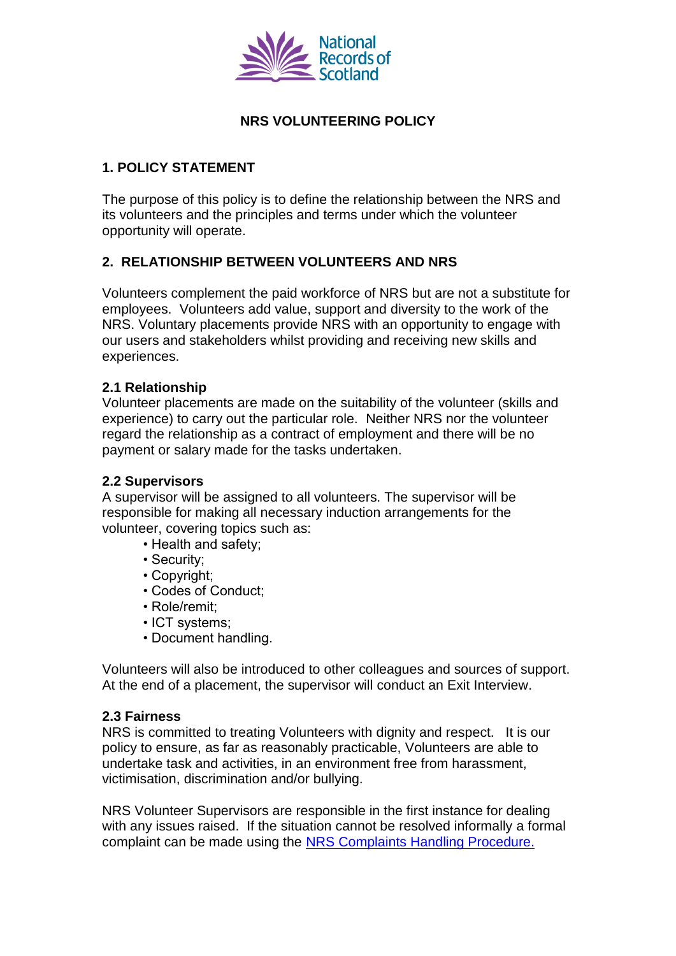

# **NRS VOLUNTEERING POLICY**

## **1. POLICY STATEMENT**

The purpose of this policy is to define the relationship between the NRS and its volunteers and the principles and terms under which the volunteer opportunity will operate.

## **2. RELATIONSHIP BETWEEN VOLUNTEERS AND NRS**

Volunteers complement the paid workforce of NRS but are not a substitute for employees. Volunteers add value, support and diversity to the work of the NRS. Voluntary placements provide NRS with an opportunity to engage with our users and stakeholders whilst providing and receiving new skills and experiences.

#### **2.1 Relationship**

Volunteer placements are made on the suitability of the volunteer (skills and experience) to carry out the particular role. Neither NRS nor the volunteer regard the relationship as a contract of employment and there will be no payment or salary made for the tasks undertaken.

#### **2.2 Supervisors**

A supervisor will be assigned to all volunteers. The supervisor will be responsible for making all necessary induction arrangements for the volunteer, covering topics such as:

- Health and safety;
- Security;
- Copyright;
- Codes of Conduct;
- Role/remit;
- ICT systems;
- Document handling.

Volunteers will also be introduced to other colleagues and sources of support. At the end of a placement, the supervisor will conduct an Exit Interview.

#### **2.3 Fairness**

NRS is committed to treating Volunteers with dignity and respect. It is our policy to ensure, as far as reasonably practicable, Volunteers are able to undertake task and activities, in an environment free from harassment, victimisation, discrimination and/or bullying.

NRS Volunteer Supervisors are responsible in the first instance for dealing with any issues raised. If the situation cannot be resolved informally a formal complaint can be made using the [NRS Complaints Handling Procedure.](http://www.nrscotland.gov.uk/about-us/complaints-procedure)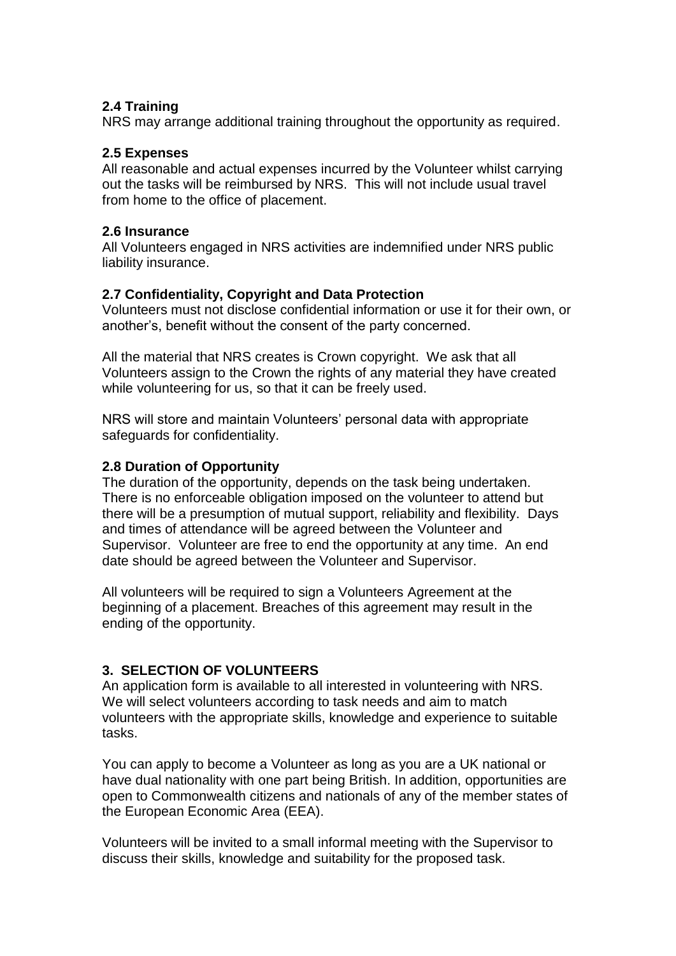## **2.4 Training**

NRS may arrange additional training throughout the opportunity as required.

#### **2.5 Expenses**

All reasonable and actual expenses incurred by the Volunteer whilst carrying out the tasks will be reimbursed by NRS. This will not include usual travel from home to the office of placement.

#### **2.6 Insurance**

All Volunteers engaged in NRS activities are indemnified under NRS public liability insurance.

## **2.7 Confidentiality, Copyright and Data Protection**

Volunteers must not disclose confidential information or use it for their own, or another's, benefit without the consent of the party concerned.

All the material that NRS creates is Crown copyright. We ask that all Volunteers assign to the Crown the rights of any material they have created while volunteering for us, so that it can be freely used.

NRS will store and maintain Volunteers' personal data with appropriate safeguards for confidentiality.

#### **2.8 Duration of Opportunity**

The duration of the opportunity, depends on the task being undertaken. There is no enforceable obligation imposed on the volunteer to attend but there will be a presumption of mutual support, reliability and flexibility. Days and times of attendance will be agreed between the Volunteer and Supervisor. Volunteer are free to end the opportunity at any time. An end date should be agreed between the Volunteer and Supervisor.

All volunteers will be required to sign a Volunteers Agreement at the beginning of a placement. Breaches of this agreement may result in the ending of the opportunity.

## **3. SELECTION OF VOLUNTEERS**

An application form is available to all interested in volunteering with NRS. We will select volunteers according to task needs and aim to match volunteers with the appropriate skills, knowledge and experience to suitable tasks.

You can apply to become a Volunteer as long as you are a UK national or have dual nationality with one part being British. In addition, opportunities are open to Commonwealth citizens and nationals of any of the member states of the European Economic Area (EEA).

Volunteers will be invited to a small informal meeting with the Supervisor to discuss their skills, knowledge and suitability for the proposed task.